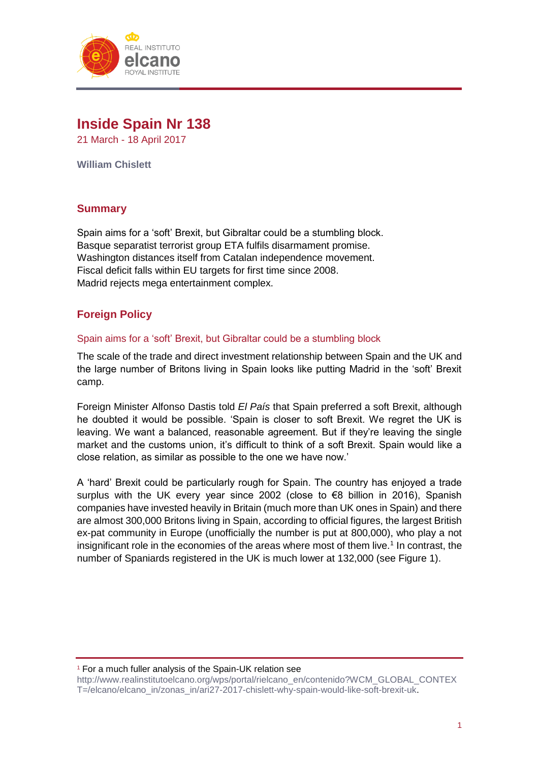

# **Inside Spain Nr 138**

21 March - 18 April 2017

**William Chislett**

# **Summary**

Spain aims for a 'soft' Brexit, but Gibraltar could be a stumbling block. Basque separatist terrorist group ETA fulfils disarmament promise. Washington distances itself from Catalan independence movement. Fiscal deficit falls within EU targets for first time since 2008. Madrid rejects mega entertainment complex.

# **Foreign Policy**

## Spain aims for a 'soft' Brexit, but Gibraltar could be a stumbling block

The scale of the trade and direct investment relationship between Spain and the UK and the large number of Britons living in Spain looks like putting Madrid in the 'soft' Brexit camp.

Foreign Minister Alfonso Dastis told *El País* that Spain preferred a soft Brexit, although he doubted it would be possible. 'Spain is closer to soft Brexit. We regret the UK is leaving. We want a balanced, reasonable agreement. But if they're leaving the single market and the customs union, it's difficult to think of a soft Brexit. Spain would like a close relation, as similar as possible to the one we have now.'

A 'hard' Brexit could be particularly rough for Spain. The country has enjoyed a trade surplus with the UK every year since 2002 (close to €8 billion in 2016), Spanish companies have invested heavily in Britain (much more than UK ones in Spain) and there are almost 300,000 Britons living in Spain, according to official figures, the largest British ex-pat community in Europe (unofficially the number is put at 800,000), who play a not insignificant role in the economies of the areas where most of them live.<sup>1</sup> In contrast, the number of Spaniards registered in the UK is much lower at 132,000 (see Figure 1).

<sup>1</sup> For a much fuller analysis of the Spain-UK relation see

[http://www.realinstitutoelcano.org/wps/portal/rielcano\\_en/contenido?WCM\\_GLOBAL\\_CONTEX](http://www.realinstitutoelcano.org/wps/portal/rielcano_en/contenido?WCM_GLOBAL_CONTEXT=/elcano/elcano_in/zonas_in/ari27-2017-chislett-why-spain-would-like-soft-brexit-uk) [T=/elcano/elcano\\_in/zonas\\_in/ari27-2017-chislett-why-spain-would-like-soft-brexit-uk.](http://www.realinstitutoelcano.org/wps/portal/rielcano_en/contenido?WCM_GLOBAL_CONTEXT=/elcano/elcano_in/zonas_in/ari27-2017-chislett-why-spain-would-like-soft-brexit-uk)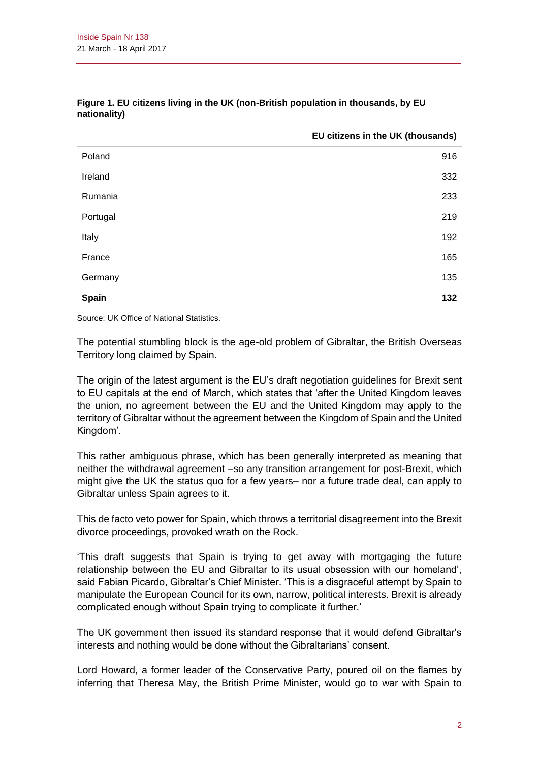|          | EU citizens in the UK (thousands) |
|----------|-----------------------------------|
| Poland   | 916                               |
| Ireland  | 332                               |
| Rumania  | 233                               |
| Portugal | 219                               |
| Italy    | 192                               |
| France   | 165                               |
| Germany  | 135                               |
| Spain    | 132                               |

#### **Figure 1. EU citizens living in the UK (non-British population in thousands, by EU nationality)**

Source: UK Office of National Statistics.

The potential stumbling block is the age-old problem of Gibraltar, the British Overseas Territory long claimed by Spain.

The origin of the latest argument is the EU's draft negotiation guidelines for Brexit sent to EU capitals at the end of March, which states that 'after the United Kingdom leaves the union, no agreement between the EU and the United Kingdom may apply to the territory of Gibraltar without the agreement between the Kingdom of Spain and the United Kingdom'.

This rather ambiguous phrase, which has been generally interpreted as meaning that neither the withdrawal agreement –so any transition arrangement for post-Brexit, which might give the UK the status quo for a few years– nor a future trade deal, can apply to Gibraltar unless Spain agrees to it.

This de facto veto power for Spain, which throws a territorial disagreement into the Brexit divorce proceedings, provoked wrath on the Rock.

'This draft suggests that Spain is trying to get away with mortgaging the future relationship between the EU and Gibraltar to its usual obsession with our homeland', said Fabian Picardo, Gibraltar's Chief Minister. 'This is a disgraceful attempt by Spain to manipulate the European Council for its own, narrow, political interests. Brexit is already complicated enough without Spain trying to complicate it further.'

The UK government then issued its standard response that it would defend Gibraltar's interests and nothing would be done without the Gibraltarians' consent.

Lord Howard, a former leader of the Conservative Party, poured oil on the flames by inferring that Theresa May, the British Prime Minister, would go to war with Spain to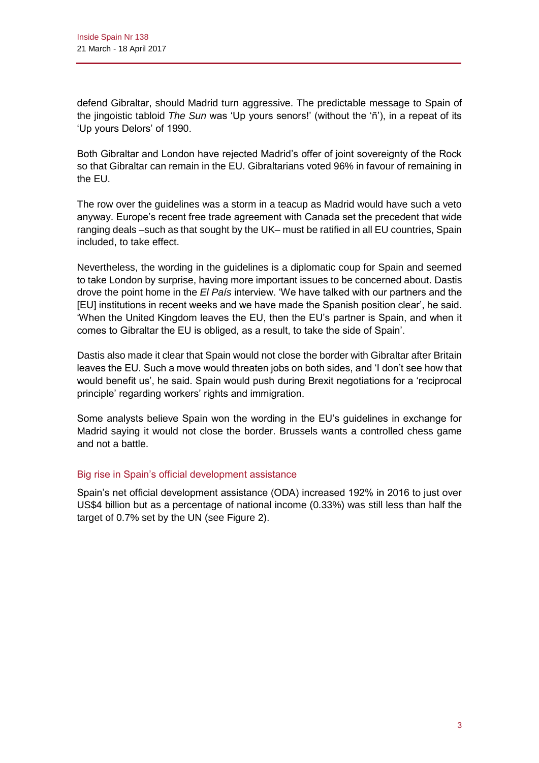defend Gibraltar, should Madrid turn aggressive. The predictable message to Spain of the jingoistic tabloid *The Sun* was 'Up yours senors!' (without the 'ñ'), in a repeat of its 'Up yours Delors' of 1990.

Both Gibraltar and London have rejected Madrid's offer of joint sovereignty of the Rock so that Gibraltar can remain in the EU. Gibraltarians voted 96% in favour of remaining in the EU.

The row over the guidelines was a storm in a teacup as Madrid would have such a veto anyway. Europe's recent free trade agreement with Canada set the precedent that wide ranging deals –such as that sought by the UK– must be ratified in all EU countries, Spain included, to take effect.

Nevertheless, the wording in the guidelines is a diplomatic coup for Spain and seemed to take London by surprise, having more important issues to be concerned about. Dastis drove the point home in the *El País* interview. 'We have talked with our partners and the [EU] institutions in recent weeks and we have made the Spanish position clear', he said. 'When the United Kingdom leaves the EU, then the EU's partner is Spain, and when it comes to Gibraltar the EU is obliged, as a result, to take the side of Spain'.

Dastis also made it clear that Spain would not close the border with Gibraltar after Britain leaves the EU. Such a move would threaten jobs on both sides, and 'I don't see how that would benefit us', he said. Spain would push during Brexit negotiations for a 'reciprocal principle' regarding workers' rights and immigration.

Some analysts believe Spain won the wording in the EU's guidelines in exchange for Madrid saying it would not close the border. Brussels wants a controlled chess game and not a battle.

## Big rise in Spain's official development assistance

Spain's net official development assistance (ODA) increased 192% in 2016 to just over US\$4 billion but as a percentage of national income (0.33%) was still less than half the target of 0.7% set by the UN (see Figure 2).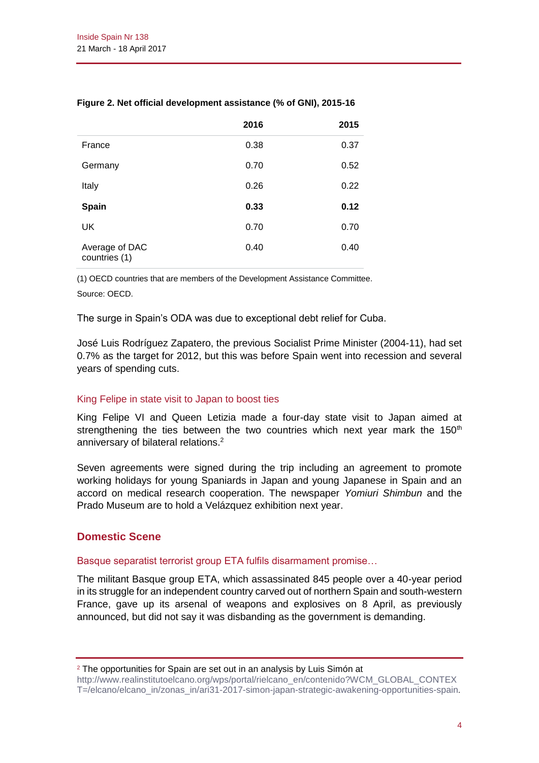|                                 | 2016 | 2015 |
|---------------------------------|------|------|
| France                          | 0.38 | 0.37 |
| Germany                         | 0.70 | 0.52 |
| Italy                           | 0.26 | 0.22 |
| <b>Spain</b>                    | 0.33 | 0.12 |
| UK                              | 0.70 | 0.70 |
| Average of DAC<br>countries (1) | 0.40 | 0.40 |

## **Figure 2. Net official development assistance (% of GNI), 2015-16**

(1) OECD countries that are members of the Development Assistance Committee.

Source: OECD.

The surge in Spain's ODA was due to exceptional debt relief for Cuba.

José Luis Rodríguez Zapatero, the previous Socialist Prime Minister (2004-11), had set 0.7% as the target for 2012, but this was before Spain went into recession and several years of spending cuts.

## King Felipe in state visit to Japan to boost ties

King Felipe VI and Queen Letizia made a four-day state visit to Japan aimed at strengthening the ties between the two countries which next year mark the  $150<sup>th</sup>$ anniversary of bilateral relations.<sup>2</sup>

Seven agreements were signed during the trip including an agreement to promote working holidays for young Spaniards in Japan and young Japanese in Spain and an accord on medical research cooperation. The newspaper *Yomiuri Shimbun* and the Prado Museum are to hold a Velázquez exhibition next year.

# **Domestic Scene**

#### Basque separatist terrorist group ETA fulfils disarmament promise…

The militant Basque group ETA, which assassinated 845 people over a 40-year period in its struggle for an independent country carved out of northern Spain and south-western France, gave up its arsenal of weapons and explosives on 8 April, as previously announced, but did not say it was disbanding as the government is demanding.

<sup>2</sup> The opportunities for Spain are set out in an analysis by Luis Simón at

[http://www.realinstitutoelcano.org/wps/portal/rielcano\\_en/contenido?WCM\\_GLOBAL\\_CONTEX](http://www.realinstitutoelcano.org/wps/portal/rielcano_en/contenido?WCM_GLOBAL_CONTEXT=/elcano/elcano_in/zonas_in/ari31-2017-simon-japan-strategic-awakening-opportunities-spain) [T=/elcano/elcano\\_in/zonas\\_in/ari31-2017-simon-japan-strategic-awakening-opportunities-spain](http://www.realinstitutoelcano.org/wps/portal/rielcano_en/contenido?WCM_GLOBAL_CONTEXT=/elcano/elcano_in/zonas_in/ari31-2017-simon-japan-strategic-awakening-opportunities-spain).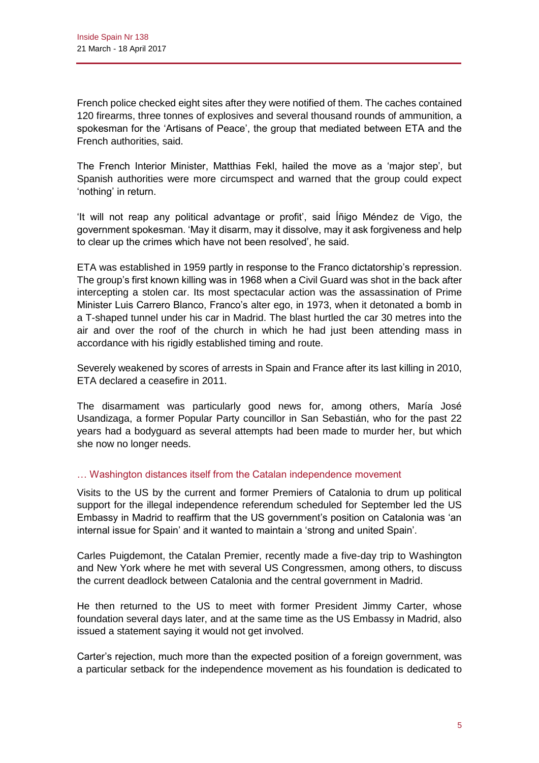French police checked eight sites after they were notified of them. The caches contained 120 firearms, three tonnes of explosives and several thousand rounds of ammunition, a spokesman for the 'Artisans of Peace', the group that mediated between ETA and the French authorities, said.

The French Interior Minister, Matthias Fekl, hailed the move as a 'major step', but Spanish authorities were more circumspect and warned that the group could expect 'nothing' in return.

'It will not reap any political advantage or profit', said Íñigo Méndez de Vigo, the government spokesman. 'May it disarm, may it dissolve, may it ask forgiveness and help to clear up the crimes which have not been resolved', he said.

ETA was established in 1959 partly in response to the Franco dictatorship's repression. The group's first known killing was in 1968 when a Civil Guard was shot in the back after intercepting a stolen car. Its most spectacular action was the assassination of Prime Minister Luis Carrero Blanco, Franco's alter ego, in 1973, when it detonated a bomb in a T-shaped tunnel under his car in Madrid. The blast hurtled the car 30 metres into the air and over the roof of the church in which he had just been attending mass in accordance with his rigidly established timing and route.

Severely weakened by scores of arrests in Spain and France after its last killing in 2010, ETA declared a ceasefire in 2011.

The disarmament was particularly good news for, among others, María José Usandizaga, a former Popular Party councillor in San Sebastián, who for the past 22 years had a bodyguard as several attempts had been made to murder her, but which she now no longer needs.

## … Washington distances itself from the Catalan independence movement

Visits to the US by the current and former Premiers of Catalonia to drum up political support for the illegal independence referendum scheduled for September led the US Embassy in Madrid to reaffirm that the US government's position on Catalonia was 'an internal issue for Spain' and it wanted to maintain a 'strong and united Spain'.

Carles Puigdemont, the Catalan Premier, recently made a five-day trip to Washington and New York where he met with several US Congressmen, among others, to discuss the current deadlock between Catalonia and the central government in Madrid.

He then returned to the US to meet with former President Jimmy Carter, whose foundation several days later, and at the same time as the US Embassy in Madrid, also issued a statement saying it would not get involved.

Carter's rejection, much more than the expected position of a foreign government, was a particular setback for the independence movement as his foundation is dedicated to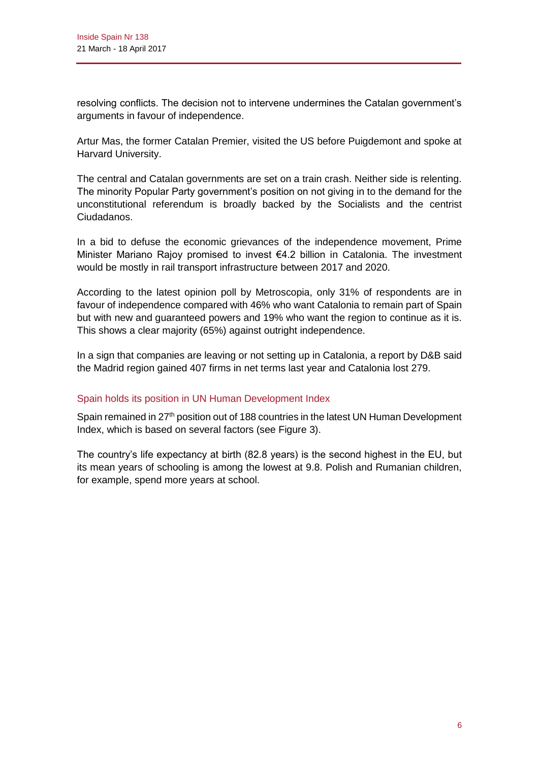resolving conflicts. The decision not to intervene undermines the Catalan government's arguments in favour of independence.

Artur Mas, the former Catalan Premier, visited the US before Puigdemont and spoke at Harvard University.

The central and Catalan governments are set on a train crash. Neither side is relenting. The minority Popular Party government's position on not giving in to the demand for the unconstitutional referendum is broadly backed by the Socialists and the centrist Ciudadanos.

In a bid to defuse the economic grievances of the independence movement, Prime Minister Mariano Rajoy promised to invest €4.2 billion in Catalonia. The investment would be mostly in rail transport infrastructure between 2017 and 2020.

According to the latest opinion poll by Metroscopia, only 31% of respondents are in favour of independence compared with 46% who want Catalonia to remain part of Spain but with new and guaranteed powers and 19% who want the region to continue as it is. This shows a clear majority (65%) against outright independence.

In a sign that companies are leaving or not setting up in Catalonia, a report by D&B said the Madrid region gained 407 firms in net terms last year and Catalonia lost 279.

## Spain holds its position in UN Human Development Index

Spain remained in 27<sup>th</sup> position out of 188 countries in the latest UN Human Development Index, which is based on several factors (see Figure 3).

The country's life expectancy at birth (82.8 years) is the second highest in the EU, but its mean years of schooling is among the lowest at 9.8. Polish and Rumanian children, for example, spend more years at school.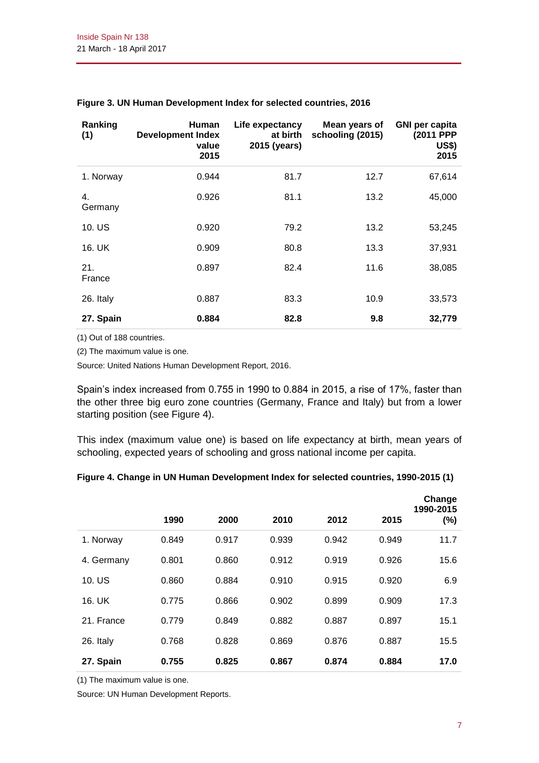| Ranking<br>(1) | <b>Human</b><br><b>Development Index</b><br>value<br>2015 | Life expectancy<br>at birth<br>2015 (years) | Mean years of<br>schooling (2015) | <b>GNI per capita</b><br>(2011 PPP<br><b>US\$)</b><br>2015 |
|----------------|-----------------------------------------------------------|---------------------------------------------|-----------------------------------|------------------------------------------------------------|
| 1. Norway      | 0.944                                                     | 81.7                                        | 12.7                              | 67,614                                                     |
| 4.<br>Germany  | 0.926                                                     | 81.1                                        | 13.2                              | 45,000                                                     |
| 10. US         | 0.920                                                     | 79.2                                        | 13.2                              | 53,245                                                     |
| 16. UK         | 0.909                                                     | 80.8                                        | 13.3                              | 37,931                                                     |
| 21.<br>France  | 0.897                                                     | 82.4                                        | 11.6                              | 38,085                                                     |
| 26. Italy      | 0.887                                                     | 83.3                                        | 10.9                              | 33,573                                                     |
| 27. Spain      | 0.884                                                     | 82.8                                        | 9.8                               | 32,779                                                     |

#### **Figure 3. UN Human Development Index for selected countries, 2016**

(1) Out of 188 countries.

(2) The maximum value is one.

Source: United Nations Human Development Report, 2016.

Spain's index increased from 0.755 in 1990 to 0.884 in 2015, a rise of 17%, faster than the other three big euro zone countries (Germany, France and Italy) but from a lower starting position (see Figure 4).

This index (maximum value one) is based on life expectancy at birth, mean years of schooling, expected years of schooling and gross national income per capita.

#### **Figure 4. Change in UN Human Development Index for selected countries, 1990-2015 (1)**

|            | 1990  | 2000  | 2010  | 2012  | 2015  | Change<br>1990-2015<br>(%) |
|------------|-------|-------|-------|-------|-------|----------------------------|
| 1. Norway  | 0.849 | 0.917 | 0.939 | 0.942 | 0.949 | 11.7                       |
| 4. Germany | 0.801 | 0.860 | 0.912 | 0.919 | 0.926 | 15.6                       |
| 10. US     | 0.860 | 0.884 | 0.910 | 0.915 | 0.920 | 6.9                        |
| 16. UK     | 0.775 | 0.866 | 0.902 | 0.899 | 0.909 | 17.3                       |
| 21. France | 0.779 | 0.849 | 0.882 | 0.887 | 0.897 | 15.1                       |
| 26. Italy  | 0.768 | 0.828 | 0.869 | 0.876 | 0.887 | 15.5                       |
| 27. Spain  | 0.755 | 0.825 | 0.867 | 0.874 | 0.884 | 17.0                       |

(1) The maximum value is one.

Source: UN Human Development Reports.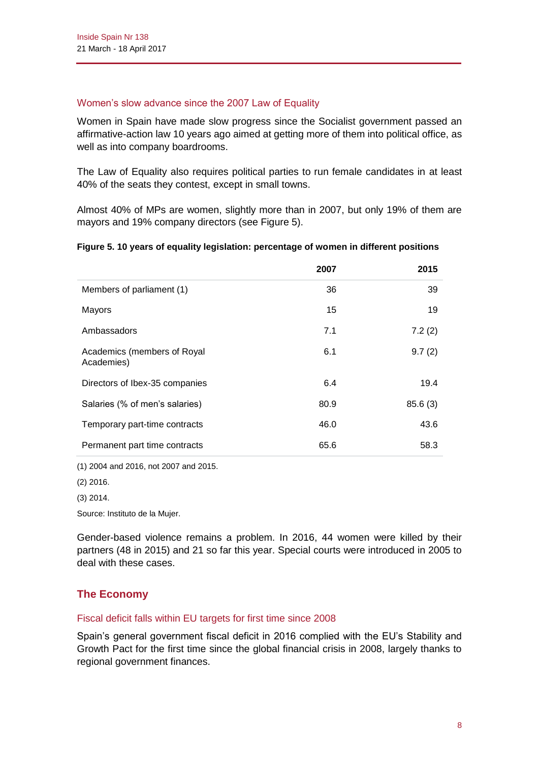#### Women's slow advance since the 2007 Law of Equality

Women in Spain have made slow progress since the Socialist government passed an affirmative-action law 10 years ago aimed at getting more of them into political office, as well as into company boardrooms.

The Law of Equality also requires political parties to run female candidates in at least 40% of the seats they contest, except in small towns.

Almost 40% of MPs are women, slightly more than in 2007, but only 19% of them are mayors and 19% company directors (see Figure 5).

#### **Figure 5. 10 years of equality legislation: percentage of women in different positions**

|                                           | 2007 | 2015    |
|-------------------------------------------|------|---------|
| Members of parliament (1)                 | 36   | 39      |
| Mayors                                    | 15   | 19      |
| Ambassadors                               | 7.1  | 7.2(2)  |
| Academics (members of Royal<br>Academies) | 6.1  | 9.7(2)  |
| Directors of Ibex-35 companies            | 6.4  | 19.4    |
| Salaries (% of men's salaries)            | 80.9 | 85.6(3) |
| Temporary part-time contracts             | 46.0 | 43.6    |
| Permanent part time contracts             | 65.6 | 58.3    |

(1) 2004 and 2016, not 2007 and 2015.

(2) 2016.

(3) 2014.

Source: Instituto de la Mujer.

Gender-based violence remains a problem. In 2016, 44 women were killed by their partners (48 in 2015) and 21 so far this year. Special courts were introduced in 2005 to deal with these cases.

# **The Economy**

## Fiscal deficit falls within EU targets for first time since 2008

Spain's general government fiscal deficit in 2016 complied with the EU's Stability and Growth Pact for the first time since the global financial crisis in 2008, largely thanks to regional government finances.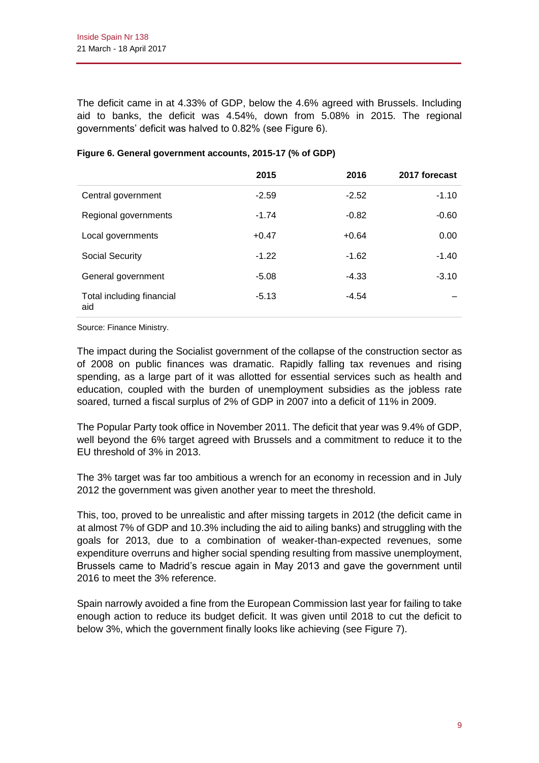The deficit came in at 4.33% of GDP, below the 4.6% agreed with Brussels. Including aid to banks, the deficit was 4.54%, down from 5.08% in 2015. The regional governments' deficit was halved to 0.82% (see Figure 6).

|                                  | 2015    | 2016    | 2017 forecast |
|----------------------------------|---------|---------|---------------|
| Central government               | $-2.59$ | $-2.52$ | $-1.10$       |
| Regional governments             | $-1.74$ | $-0.82$ | $-0.60$       |
| Local governments                | $+0.47$ | $+0.64$ | 0.00          |
| Social Security                  | $-1.22$ | $-1.62$ | $-1.40$       |
| General government               | $-5.08$ | $-4.33$ | $-3.10$       |
| Total including financial<br>aid | $-5.13$ | $-4.54$ |               |

## **Figure 6. General government accounts, 2015-17 (% of GDP)**

Source: Finance Ministry.

The impact during the Socialist government of the collapse of the construction sector as of 2008 on public finances was dramatic. Rapidly falling tax revenues and rising spending, as a large part of it was allotted for essential services such as health and education, coupled with the burden of unemployment subsidies as the jobless rate soared, turned a fiscal surplus of 2% of GDP in 2007 into a deficit of 11% in 2009.

The Popular Party took office in November 2011. The deficit that year was 9.4% of GDP, well beyond the 6% target agreed with Brussels and a commitment to reduce it to the EU threshold of 3% in 2013.

The 3% target was far too ambitious a wrench for an economy in recession and in July 2012 the government was given another year to meet the threshold.

This, too, proved to be unrealistic and after missing targets in 2012 (the deficit came in at almost 7% of GDP and 10.3% including the aid to ailing banks) and struggling with the goals for 2013, due to a combination of weaker-than-expected revenues, some expenditure overruns and higher social spending resulting from massive unemployment, Brussels came to Madrid's rescue again in May 2013 and gave the government until 2016 to meet the 3% reference.

Spain narrowly avoided a fine from the European Commission last year for failing to take enough action to reduce its budget deficit. It was given until 2018 to cut the deficit to below 3%, which the government finally looks like achieving (see Figure 7).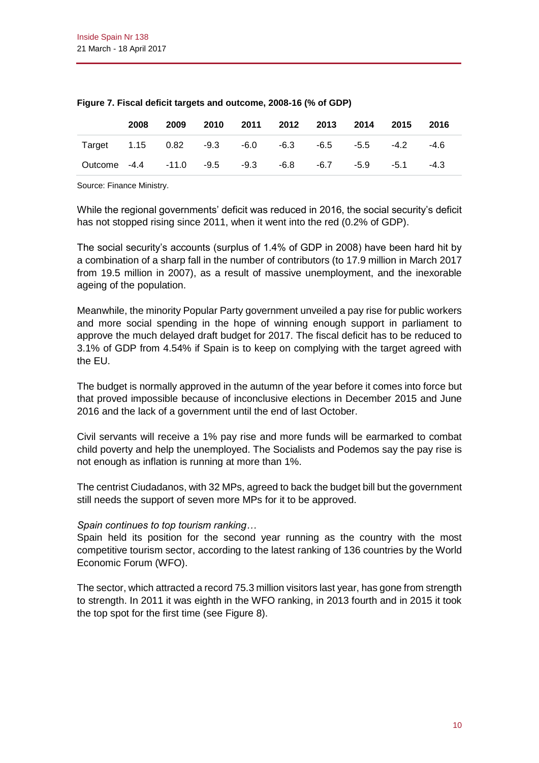|                                                  | 2008 | 2009 |  | 2010 2011 2012 2013 2014 2015 2016 |  |        |
|--------------------------------------------------|------|------|--|------------------------------------|--|--------|
| Target 1.15 0.82 -9.3 -6.0 -6.3 -6.5 -5.5 -4.2   |      |      |  |                                    |  | -4.6   |
| Outcome -4.4 -11.0 -9.5 -9.3 -6.8 -6.7 -5.9 -5.1 |      |      |  |                                    |  | $-4.3$ |

#### **Figure 7. Fiscal deficit targets and outcome, 2008-16 (% of GDP)**

Source: Finance Ministry.

While the regional governments' deficit was reduced in 2016, the social security's deficit has not stopped rising since 2011, when it went into the red (0.2% of GDP).

The social security's accounts (surplus of 1.4% of GDP in 2008) have been hard hit by a combination of a sharp fall in the number of contributors (to 17.9 million in March 2017 from 19.5 million in 2007), as a result of massive unemployment, and the inexorable ageing of the population.

Meanwhile, the minority Popular Party government unveiled a pay rise for public workers and more social spending in the hope of winning enough support in parliament to approve the much delayed draft budget for 2017. The fiscal deficit has to be reduced to 3.1% of GDP from 4.54% if Spain is to keep on complying with the target agreed with the EU.

The budget is normally approved in the autumn of the year before it comes into force but that proved impossible because of inconclusive elections in December 2015 and June 2016 and the lack of a government until the end of last October.

Civil servants will receive a 1% pay rise and more funds will be earmarked to combat child poverty and help the unemployed. The Socialists and Podemos say the pay rise is not enough as inflation is running at more than 1%.

The centrist Ciudadanos, with 32 MPs, agreed to back the budget bill but the government still needs the support of seven more MPs for it to be approved.

## *Spain continues to top tourism ranking…*

Spain held its position for the second year running as the country with the most competitive tourism sector, according to the latest ranking of 136 countries by the World Economic Forum (WFO).

The sector, which attracted a record 75.3 million visitors last year, has gone from strength to strength. In 2011 it was eighth in the WFO ranking, in 2013 fourth and in 2015 it took the top spot for the first time (see Figure 8).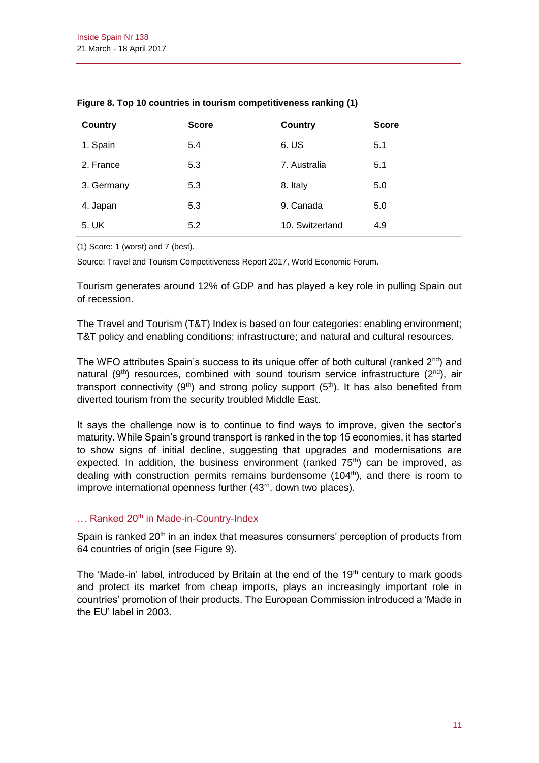| <b>Country</b> | <b>Score</b> | <b>Country</b>  | <b>Score</b> |
|----------------|--------------|-----------------|--------------|
| 1. Spain       | 5.4          | 6. US           | 5.1          |
| 2. France      | 5.3          | 7. Australia    | 5.1          |
| 3. Germany     | 5.3          | 8. Italy        | 5.0          |
| 4. Japan       | 5.3          | 9. Canada       | 5.0          |
| 5. UK          | 5.2          | 10. Switzerland | 4.9          |

#### **Figure 8. Top 10 countries in tourism competitiveness ranking (1)**

(1) Score: 1 (worst) and 7 (best).

Source: Travel and Tourism Competitiveness Report 2017, World Economic Forum.

Tourism generates around 12% of GDP and has played a key role in pulling Spain out of recession.

The Travel and Tourism (T&T) Index is based on four categories: enabling environment; T&T policy and enabling conditions; infrastructure; and natural and cultural resources.

The WFO attributes Spain's success to its unique offer of both cultural (ranked  $2^{nd}$ ) and natural  $(9<sup>th</sup>)$  resources, combined with sound tourism service infrastructure  $(2<sup>nd</sup>)$ , air transport connectivity (9<sup>th</sup>) and strong policy support (5<sup>th</sup>). It has also benefited from diverted tourism from the security troubled Middle East.

It says the challenge now is to continue to find ways to improve, given the sector's maturity. While Spain's ground transport is ranked in the top 15 economies, it has started to show signs of initial decline, suggesting that upgrades and modernisations are expected. In addition, the business environment (ranked  $75<sup>th</sup>$ ) can be improved, as dealing with construction permits remains burdensome  $(104<sup>th</sup>)$ , and there is room to improve international openness further (43<sup>rd</sup>, down two places).

## ... Ranked 20<sup>th</sup> in Made-in-Country-Index

Spain is ranked  $20<sup>th</sup>$  in an index that measures consumers' perception of products from 64 countries of origin (see Figure 9).

The 'Made-in' label, introduced by Britain at the end of the  $19<sup>th</sup>$  century to mark goods and protect its market from cheap imports, plays an increasingly important role in countries' promotion of their products. The European Commission introduced a 'Made in the EU' label in 2003.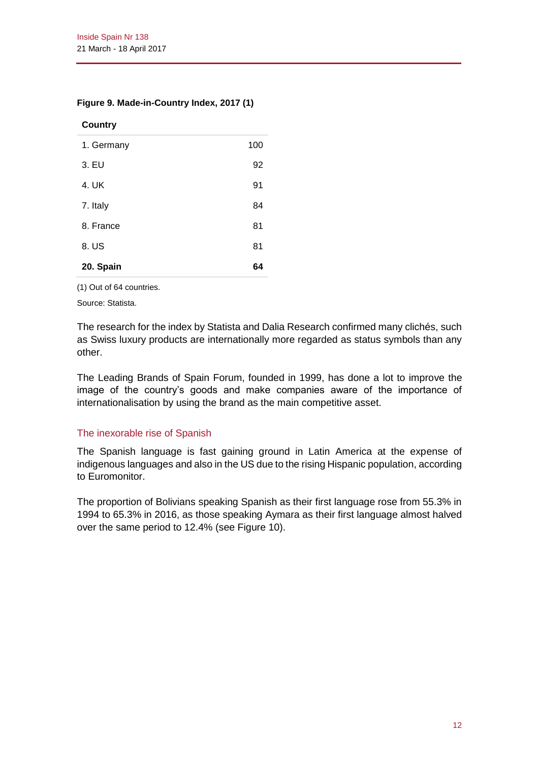#### **Figure 9. Made-in-Country Index, 2017 (1)**

#### **Country**

| 1. Germany | 100 |
|------------|-----|
| 3. EU      | 92  |
| 4. UK      | 91  |
| 7. Italy   | 84  |
| 8. France  | 81  |
| 8. US      | 81  |
| 20. Spain  | 64  |

(1) Out of 64 countries.

Source: Statista.

The research for the index by Statista and Dalia Research confirmed many clichés, such as Swiss luxury products are internationally more regarded as status symbols than any other.

The Leading Brands of Spain Forum, founded in 1999, has done a lot to improve the image of the country's goods and make companies aware of the importance of internationalisation by using the brand as the main competitive asset.

#### The inexorable rise of Spanish

The Spanish language is fast gaining ground in Latin America at the expense of indigenous languages and also in the US due to the rising Hispanic population, according to Euromonitor.

The proportion of Bolivians speaking Spanish as their first language rose from 55.3% in 1994 to 65.3% in 2016, as those speaking Aymara as their first language almost halved over the same period to 12.4% (see Figure 10).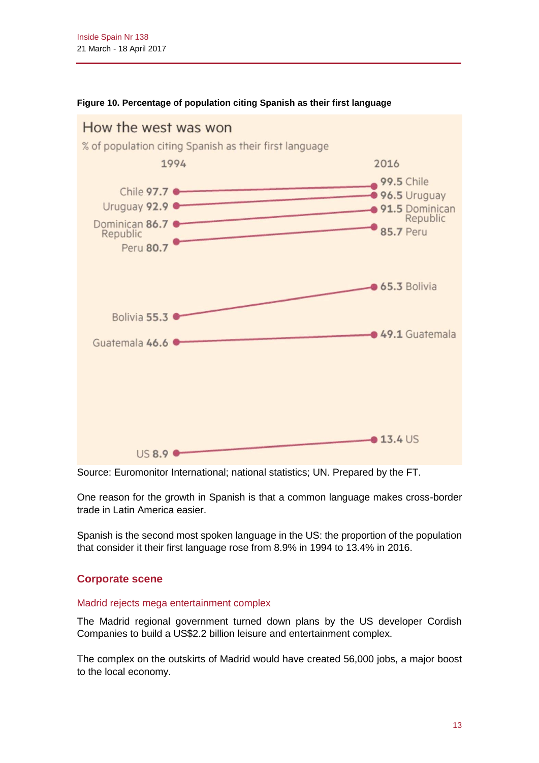

#### **Figure 10. Percentage of population citing Spanish as their first language**

Source: Euromonitor International; national statistics; UN. Prepared by the FT.

One reason for the growth in Spanish is that a common language makes cross-border trade in Latin America easier.

Spanish is the second most spoken language in the US: the proportion of the population that consider it their first language rose from 8.9% in 1994 to 13.4% in 2016.

# **Corporate scene**

#### Madrid rejects mega entertainment complex

The Madrid regional government turned down plans by the US developer Cordish Companies to build a US\$2.2 billion leisure and entertainment complex.

The complex on the outskirts of Madrid would have created 56,000 jobs, a major boost to the local economy.